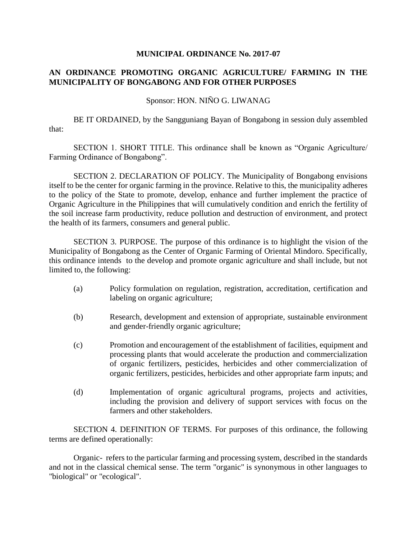## **MUNICIPAL ORDINANCE No. 2017-07**

## **AN ORDINANCE PROMOTING ORGANIC AGRICULTURE/ FARMING IN THE MUNICIPALITY OF BONGABONG AND FOR OTHER PURPOSES**

## Sponsor: HON. NIÑO G. LIWANAG

BE IT ORDAINED, by the Sangguniang Bayan of Bongabong in session duly assembled that:

SECTION 1. SHORT TITLE. This ordinance shall be known as "Organic Agriculture/ Farming Ordinance of Bongabong".

SECTION 2. DECLARATION OF POLICY. The Municipality of Bongabong envisions itself to be the center for organic farming in the province. Relative to this, the municipality adheres to the policy of the State to promote, develop, enhance and further implement the practice of Organic Agriculture in the Philippines that will cumulatively condition and enrich the fertility of the soil increase farm productivity, reduce pollution and destruction of environment, and protect the health of its farmers, consumers and general public.

SECTION 3. PURPOSE. The purpose of this ordinance is to highlight the vision of the Municipality of Bongabong as the Center of Organic Farming of Oriental Mindoro. Specifically, this ordinance intends to the develop and promote organic agriculture and shall include, but not limited to, the following:

- (a) Policy formulation on regulation, registration, accreditation, certification and labeling on organic agriculture;
- (b) Research, development and extension of appropriate, sustainable environment and gender-friendly organic agriculture;
- (c) Promotion and encouragement of the establishment of facilities, equipment and processing plants that would accelerate the production and commercialization of organic fertilizers, pesticides, herbicides and other commercialization of organic fertilizers, pesticides, herbicides and other appropriate farm inputs; and
- (d) Implementation of organic agricultural programs, projects and activities, including the provision and delivery of support services with focus on the farmers and other stakeholders.

SECTION 4. DEFINITION OF TERMS. For purposes of this ordinance, the following terms are defined operationally:

Organic- refers to the particular farming and processing system, described in the standards and not in the classical chemical sense. The term "organic" is synonymous in other languages to "biological" or "ecological".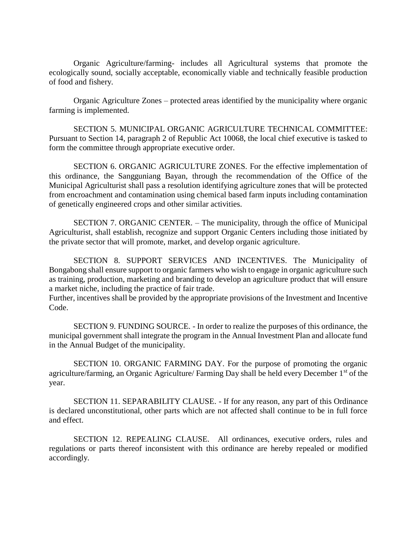Organic Agriculture/farming- includes all Agricultural systems that promote the ecologically sound, socially acceptable, economically viable and technically feasible production of food and fishery.

Organic Agriculture Zones – protected areas identified by the municipality where organic farming is implemented.

SECTION 5. MUNICIPAL ORGANIC AGRICULTURE TECHNICAL COMMITTEE: Pursuant to Section 14, paragraph 2 of Republic Act 10068, the local chief executive is tasked to form the committee through appropriate executive order.

SECTION 6. ORGANIC AGRICULTURE ZONES. For the effective implementation of this ordinance, the Sangguniang Bayan, through the recommendation of the Office of the Municipal Agriculturist shall pass a resolution identifying agriculture zones that will be protected from encroachment and contamination using chemical based farm inputs including contamination of genetically engineered crops and other similar activities.

SECTION 7. ORGANIC CENTER. – The municipality, through the office of Municipal Agriculturist, shall establish, recognize and support Organic Centers including those initiated by the private sector that will promote, market, and develop organic agriculture.

SECTION 8. SUPPORT SERVICES AND INCENTIVES. The Municipality of Bongabong shall ensure support to organic farmers who wish to engage in organic agriculture such as training, production, marketing and branding to develop an agriculture product that will ensure a market niche, including the practice of fair trade.

Further, incentives shall be provided by the appropriate provisions of the Investment and Incentive Code.

SECTION 9. FUNDING SOURCE. - In order to realize the purposes of this ordinance, the municipal government shall integrate the program in the Annual Investment Plan and allocate fund in the Annual Budget of the municipality.

SECTION 10. ORGANIC FARMING DAY. For the purpose of promoting the organic agriculture/farming, an Organic Agriculture/ Farming Day shall be held every December 1st of the year.

SECTION 11. SEPARABILITY CLAUSE. - If for any reason, any part of this Ordinance is declared unconstitutional, other parts which are not affected shall continue to be in full force and effect.

SECTION 12. REPEALING CLAUSE. All ordinances, executive orders, rules and regulations or parts thereof inconsistent with this ordinance are hereby repealed or modified accordingly.